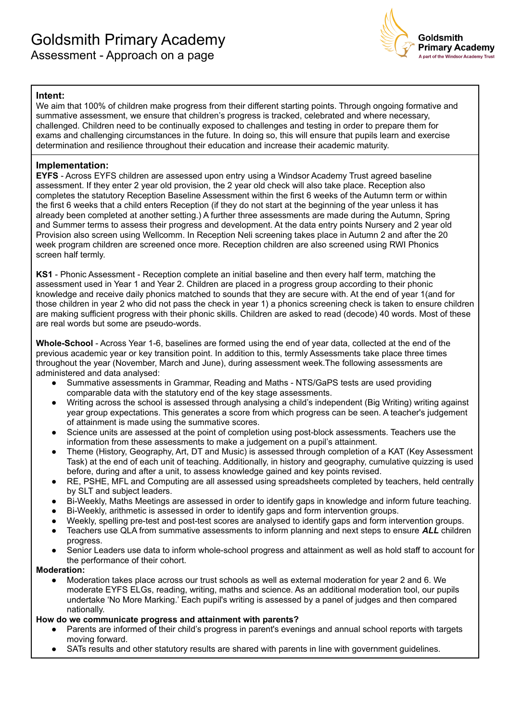# Goldsmith Primary Academy Assessment - Approach on a page



## **Intent:**

We aim that 100% of children make progress from their different starting points. Through ongoing formative and summative assessment, we ensure that children's progress is tracked, celebrated and where necessary, challenged. Children need to be continually exposed to challenges and testing in order to prepare them for exams and challenging circumstances in the future. In doing so, this will ensure that pupils learn and exercise determination and resilience throughout their education and increase their academic maturity.

## **Implementation:**

**EYFS** - Across EYFS children are assessed upon entry using a Windsor Academy Trust agreed baseline assessment. If they enter 2 year old provision, the 2 year old check will also take place. Reception also completes the statutory Reception Baseline Assessment within the first 6 weeks of the Autumn term or within the first 6 weeks that a child enters Reception (if they do not start at the beginning of the year unless it has already been completed at another setting.) A further three assessments are made during the Autumn, Spring and Summer terms to assess their progress and development. At the data entry points Nursery and 2 year old Provision also screen using Wellcomm. In Reception Neli screening takes place in Autumn 2 and after the 20 week program children are screened once more. Reception children are also screened using RWI Phonics screen half termly.

**KS1** - Phonic Assessment - Reception complete an initial baseline and then every half term, matching the assessment used in Year 1 and Year 2. Children are placed in a progress group according to their phonic knowledge and receive daily phonics matched to sounds that they are secure with. At the end of year 1(and for those children in year 2 who did not pass the check in year 1) a phonics screening check is taken to ensure children are making sufficient progress with their phonic skills. Children are asked to read (decode) 40 words. Most of these are real words but some are pseudo-words.

**Whole-School** - Across Year 1-6, baselines are formed using the end of year data, collected at the end of the previous academic year or key transition point. In addition to this, termly Assessments take place three times throughout the year (November, March and June), during assessment week.The following assessments are administered and data analysed:

- Summative assessments in Grammar, Reading and Maths NTS/GaPS tests are used providing comparable data with the statutory end of the key stage assessments.
- Writing across the school is assessed through analysing a child's independent (Big Writing) writing against year group expectations. This generates a score from which progress can be seen. A teacher's judgement of attainment is made using the summative scores.
- Science units are assessed at the point of completion using post-block assessments. Teachers use the information from these assessments to make a judgement on a pupil's attainment.
- Theme (History, Geography, Art, DT and Music) is assessed through completion of a KAT (Key Assessment Task) at the end of each unit of teaching. Additionally, in history and geography, cumulative quizzing is used before, during and after a unit, to assess knowledge gained and key points revised.
- RE, PSHE, MFL and Computing are all assessed using spreadsheets completed by teachers, held centrally by SLT and subject leaders.
- Bi-Weekly, Maths Meetings are assessed in order to identify gaps in knowledge and inform future teaching.
- Bi-Weekly, arithmetic is assessed in order to identify gaps and form intervention groups.
- Weekly, spelling pre-test and post-test scores are analysed to identify gaps and form intervention groups.
- Teachers use QLA from summative assessments to inform planning and next steps to ensure **ALL** children progress.
- Senior Leaders use data to inform whole-school progress and attainment as well as hold staff to account for the performance of their cohort.

#### **Moderation:**

Moderation takes place across our trust schools as well as external moderation for year 2 and 6. We moderate EYFS ELGs, reading, writing, maths and science. As an additional moderation tool, our pupils undertake 'No More Marking.' Each pupil's writing is assessed by a panel of judges and then compared nationally.

#### **How do we communicate progress and attainment with parents?**

- Parents are informed of their child's progress in parent's evenings and annual school reports with targets moving forward.
- SATs results and other statutory results are shared with parents in line with government guidelines.